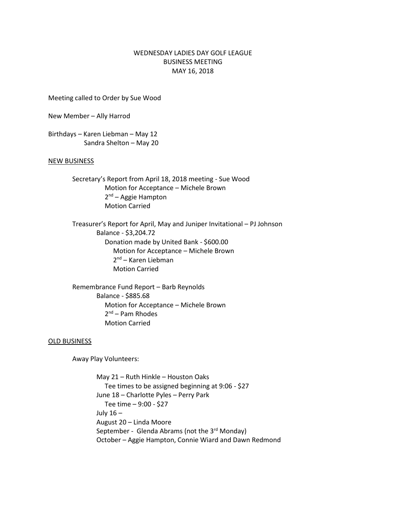## WEDNESDAY LADIES DAY GOLF LEAGUE BUSINESS MEETING MAY 16, 2018

Meeting called to Order by Sue Wood

New Member – Ally Harrod

Birthdays – Karen Liebman – May 12 Sandra Shelton – May 20

## NEW BUSINESS

Secretary's Report from April 18, 2018 meeting - Sue Wood Motion for Acceptance – Michele Brown 2<sup>nd</sup> – Aggie Hampton Motion Carried

Treasurer's Report for April, May and Juniper Invitational – PJ Johnson Balance - \$3,204.72 Donation made by United Bank - \$600.00 Motion for Acceptance – Michele Brown 2<sup>nd</sup> – Karen Liebman Motion Carried

Remembrance Fund Report – Barb Reynolds Balance - \$885.68 Motion for Acceptance – Michele Brown 2<sup>nd</sup> – Pam Rhodes Motion Carried

## OLD BUSINESS

Away Play Volunteers:

May 21 – Ruth Hinkle – Houston Oaks Tee times to be assigned beginning at 9:06 - \$27 June 18 – Charlotte Pyles – Perry Park Tee time – 9:00 - \$27 July 16 – August 20 – Linda Moore September - Glenda Abrams (not the 3rd Monday) October – Aggie Hampton, Connie Wiard and Dawn Redmond